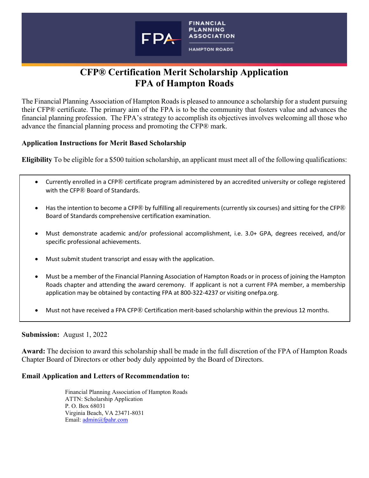

# **CFP® Certification Merit Scholarship Application FPA of Hampton Roads**

The Financial Planning Association of Hampton Roads is pleased to announce a scholarship for a student pursuing their CFP® certificate. The primary aim of the FPA is to be the community that fosters value and advances the financial planning profession. The FPA's strategy to accomplish its objectives involves welcoming all those who advance the financial planning process and promoting the CFP® mark.

## **Application Instructions for Merit Based Scholarship**

**Eligibility** To be eligible for a \$500 tuition scholarship, an applicant must meet all of the following qualifications:

- Currently enrolled in a CFP® certificate program administered by an accredited university or college registered with the CFP® Board of Standards.
- Has the intention to become a CFP® by fulfilling all requirements (currently six courses) and sitting for the CFP® Board of Standards comprehensive certification examination.
- Must demonstrate academic and/or professional accomplishment, i.e. 3.0+ GPA, degrees received, and/or specific professional achievements.
- Must submit student transcript and essay with the application.
- Must be a member of the Financial Planning Association of Hampton Roads or in process of joining the Hampton Roads chapter and attending the award ceremony. If applicant is not a current FPA member, a membership application may be obtained by contacting FPA at 800-322-4237 or visiting onefpa.org.
- Must not have received a FPA CFP® Certification merit-based scholarship within the previous 12 months.

#### **Submission:** August 1, 2022

**Award:** The decision to award this scholarship shall be made in the full discretion of the FPA of Hampton Roads Chapter Board of Directors or other body duly appointed by the Board of Directors.

## **Email Application and Letters of Recommendation to:**

Financial Planning Association of Hampton Roads ATTN: Scholarship Application P. O. Box 68031 Virginia Beach, VA 23471-8031 Email: [admin@fpahr.com](mailto:admin@fpahr.com)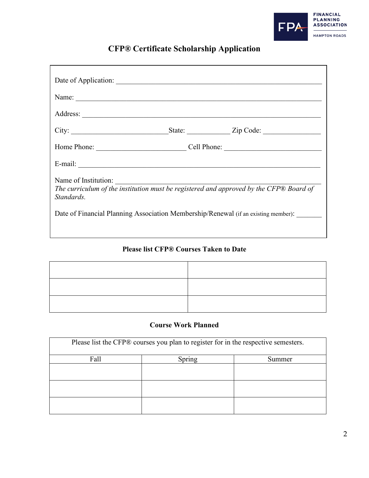

# **CFP® Certificate Scholarship Application**

| City:                                                                                                                                                                                                              |  |
|--------------------------------------------------------------------------------------------------------------------------------------------------------------------------------------------------------------------|--|
|                                                                                                                                                                                                                    |  |
|                                                                                                                                                                                                                    |  |
| Name of Institution:<br>The curriculum of the institution must be registered and approved by the CFP® Board of<br>Standards.<br>Date of Financial Planning Association Membership/Renewal (if an existing member): |  |

## **Please list CFP® Courses Taken to Date**

## **Course Work Planned**

| Please list the CFP® courses you plan to register for in the respective semesters. |        |        |  |
|------------------------------------------------------------------------------------|--------|--------|--|
| Fall                                                                               | Spring | Summer |  |
|                                                                                    |        |        |  |
|                                                                                    |        |        |  |
|                                                                                    |        |        |  |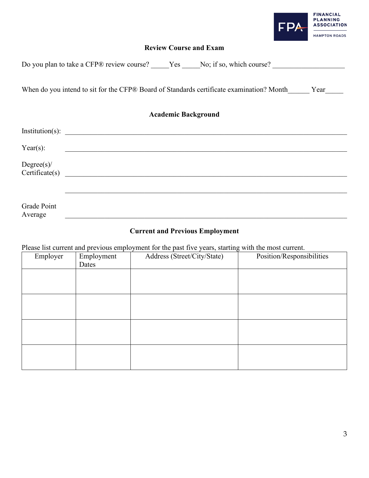

## **Review Course and Exam**

|                         |  |                 |                            | Year                                                                                     |                                                                        |
|-------------------------|--|-----------------|----------------------------|------------------------------------------------------------------------------------------|------------------------------------------------------------------------|
|                         |  |                 |                            |                                                                                          |                                                                        |
|                         |  |                 |                            |                                                                                          |                                                                        |
|                         |  |                 |                            |                                                                                          |                                                                        |
|                         |  |                 |                            |                                                                                          |                                                                        |
|                         |  |                 |                            |                                                                                          |                                                                        |
| $\text{Certificate}(s)$ |  | Institution(s): | <b>Academic Background</b> | When do you intend to sit for the CFP® Board of Standards certificate examination? Month | Do you plan to take a CFP® review course? Yes No; if so, which course? |

# **Current and Previous Employment**

Average \_\_\_\_\_\_\_\_\_\_\_\_\_\_\_\_\_\_\_\_\_\_\_\_\_\_\_\_\_\_\_\_\_\_\_\_\_\_\_\_\_\_\_\_\_\_\_\_\_\_\_\_\_\_\_\_\_\_\_\_\_\_\_\_\_\_\_\_\_\_\_\_\_\_\_\_\_\_

Please list current and previous employment for the past five years, starting with the most current.

Grade Point<br>Average

| Employer | Employment<br>Dates | Address (Street/City/State) | Position/Responsibilities |
|----------|---------------------|-----------------------------|---------------------------|
|          |                     |                             |                           |
|          |                     |                             |                           |
|          |                     |                             |                           |
|          |                     |                             |                           |
|          |                     |                             |                           |